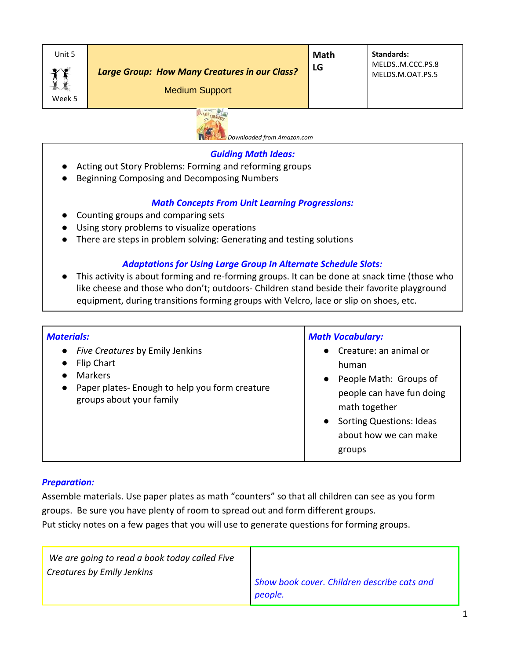



#### *Guiding Math Ideas:*

- Acting out Story Problems: Forming and reforming groups
- Beginning Composing and Decomposing Numbers

## *Math Concepts From Unit Learning Progressions:*

- Counting groups and comparing sets
- Using story problems to visualize operations
- There are steps in problem solving: Generating and testing solutions

## *Adaptations for Using Large Group In Alternate Schedule Slots:*

● This activity is about forming and re-forming groups. It can be done at snack time (those who like cheese and those who don't; outdoors- Children stand beside their favorite playground equipment, during transitions forming groups with Velcro, lace or slip on shoes, etc.

| <b>Materials:</b>                                                                                                                                                       | <b>Math Vocabulary:</b>                                                                                                                                                                                 |
|-------------------------------------------------------------------------------------------------------------------------------------------------------------------------|---------------------------------------------------------------------------------------------------------------------------------------------------------------------------------------------------------|
| Five Creatures by Emily Jenkins<br>$\bullet$<br>Flip Chart<br><b>Markers</b><br>Paper plates- Enough to help you form creature<br>$\bullet$<br>groups about your family | Creature: an animal or<br>human<br>People Math: Groups of<br>$\bullet$<br>people can have fun doing<br>math together<br><b>Sorting Questions: Ideas</b><br>$\bullet$<br>about how we can make<br>groups |

#### *Preparation:*

Assemble materials. Use paper plates as math "counters" so that all children can see as you form groups. Be sure you have plenty of room to spread out and form different groups. Put sticky notes on a few pages that you will use to generate questions for forming groups.

| We are going to read a book today called Five<br>Creatures by Emily Jenkins |                                             |
|-----------------------------------------------------------------------------|---------------------------------------------|
|                                                                             | Show book cover. Children describe cats and |
|                                                                             | people.                                     |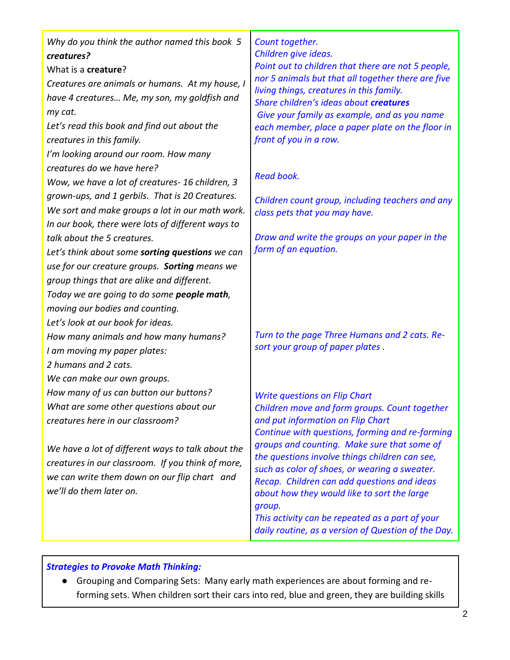| Why do you think the author named this book 5<br>creatures?<br>What is a creature?<br>Creatures are animals or humans. At my house, I<br>have 4 creatures Me, my son, my goldfish and<br>my cat.<br>Let's read this book and find out about the<br>creatures in this family.<br>I'm looking around our room. How many<br>creatures do we have here?<br>Wow, we have a lot of creatures- 16 children, 3<br>grown-ups, and 1 gerbils. That is 20 Creatures.<br>We sort and make groups a lot in our math work.<br>In our book, there were lots of different ways to<br>talk about the 5 creatures.<br>Let's think about some sorting questions we can<br>use for our creature groups. Sorting means we<br>group things that are alike and different.<br>Today we are going to do some people math,<br>moving our bodies and counting. | Count together.<br>Children give ideas.<br>Point out to children that there are not 5 people,<br>nor 5 animals but that all together there are five<br>living things, creatures in this family.<br>Share children's ideas about creatures<br>Give your family as example, and as you name<br>each member, place a paper plate on the floor in<br>front of you in a row.<br><b>Read book.</b><br>Children count group, including teachers and any<br>class pets that you may have.<br>Draw and write the groups on your paper in the<br>form of an equation. |
|-------------------------------------------------------------------------------------------------------------------------------------------------------------------------------------------------------------------------------------------------------------------------------------------------------------------------------------------------------------------------------------------------------------------------------------------------------------------------------------------------------------------------------------------------------------------------------------------------------------------------------------------------------------------------------------------------------------------------------------------------------------------------------------------------------------------------------------|-------------------------------------------------------------------------------------------------------------------------------------------------------------------------------------------------------------------------------------------------------------------------------------------------------------------------------------------------------------------------------------------------------------------------------------------------------------------------------------------------------------------------------------------------------------|
| Let's look at our book for ideas.<br>How many animals and how many humans?<br>I am moving my paper plates:<br>2 humans and 2 cats.<br>We can make our own groups.<br>How many of us can button our buttons?                                                                                                                                                                                                                                                                                                                                                                                                                                                                                                                                                                                                                         | Turn to the page Three Humans and 2 cats. Re-<br>sort your group of paper plates.<br><b>Write questions on Flip Chart</b>                                                                                                                                                                                                                                                                                                                                                                                                                                   |
| What are some other questions about our<br>creatures here in our classroom?<br>We have a lot of different ways to talk about the<br>creatures in our classroom. If you think of more,<br>we can write them down on our flip chart and<br>we'll do them later on.                                                                                                                                                                                                                                                                                                                                                                                                                                                                                                                                                                    | Children move and form groups. Count together<br>and put information on Flip Chart<br>Continue with questions, forming and re-forming<br>groups and counting. Make sure that some of<br>the questions involve things children can see,<br>such as color of shoes, or wearing a sweater.<br>Recap. Children can add questions and ideas<br>about how they would like to sort the large<br>group.<br>This activity can be repeated as a part of your<br>daily routine, as a version of Question of the Day.                                                   |

*Strategies to Provoke Math Thinking:*

● Grouping and Comparing Sets: Many early math experiences are about forming and reforming sets. When children sort their cars into red, blue and green, they are building skills